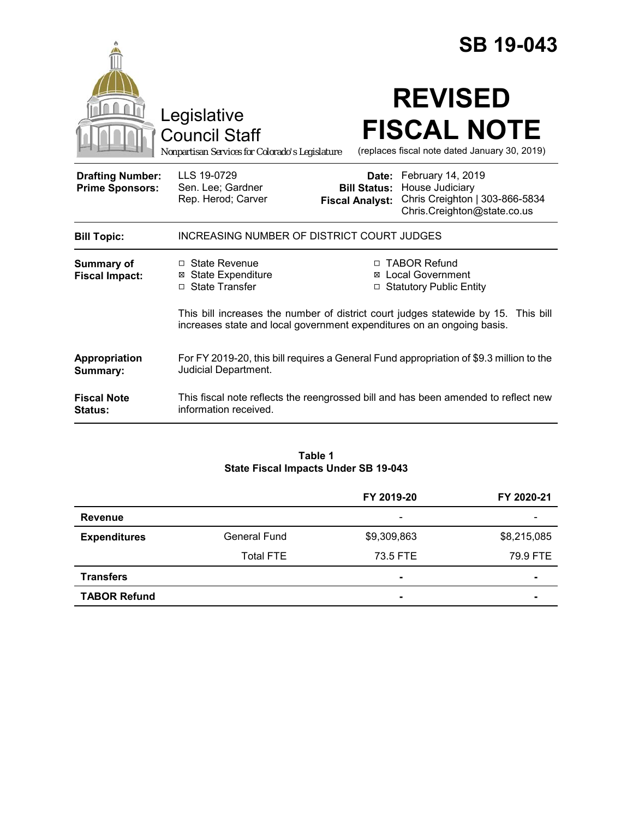|                                                   |                                                                                        | <b>SB 19-043</b>                                                                                                                                             |  |
|---------------------------------------------------|----------------------------------------------------------------------------------------|--------------------------------------------------------------------------------------------------------------------------------------------------------------|--|
|                                                   | Legislative<br><b>Council Staff</b><br>Nonpartisan Services for Colorado's Legislature | <b>REVISED</b><br><b>FISCAL NOTE</b><br>(replaces fiscal note dated January 30, 2019)                                                                        |  |
| <b>Drafting Number:</b><br><b>Prime Sponsors:</b> | LLS 19-0729<br>Sen. Lee; Gardner<br>Rep. Herod; Carver                                 | Date: February 14, 2019<br>House Judiciary<br><b>Bill Status:</b><br>Chris Creighton   303-866-5834<br><b>Fiscal Analyst:</b><br>Chris.Creighton@state.co.us |  |
| <b>Bill Topic:</b>                                | <b>INCREASING NUMBER OF DISTRICT COURT JUDGES</b>                                      |                                                                                                                                                              |  |
| <b>Summary of</b><br><b>Fiscal Impact:</b>        | $\Box$ State Revenue<br><b>⊠</b> State Expenditure<br>□ State Transfer                 | □ TABOR Refund<br><b>⊠</b> Local Government<br><b>Statutory Public Entity</b><br>$\Box$                                                                      |  |
|                                                   |                                                                                        | This bill increases the number of district court judges statewide by 15. This bill<br>increases state and local government expenditures on an ongoing basis. |  |
| Appropriation<br>Summary:                         | Judicial Department.                                                                   | For FY 2019-20, this bill requires a General Fund appropriation of \$9.3 million to the                                                                      |  |
| <b>Fiscal Note</b><br>Status:                     | information received.                                                                  | This fiscal note reflects the reengrossed bill and has been amended to reflect new                                                                           |  |

#### **Table 1 State Fiscal Impacts Under SB 19-043**

|                     |                     | FY 2019-20               | FY 2020-21               |
|---------------------|---------------------|--------------------------|--------------------------|
| <b>Revenue</b>      |                     | $\overline{\phantom{a}}$ | $\overline{\phantom{0}}$ |
| <b>Expenditures</b> | <b>General Fund</b> | \$9,309,863              | \$8,215,085              |
|                     | <b>Total FTE</b>    | 73.5 FTE                 | 79.9 FTE                 |
| <b>Transfers</b>    |                     | $\blacksquare$           | ۰                        |
| <b>TABOR Refund</b> |                     | ٠                        | -                        |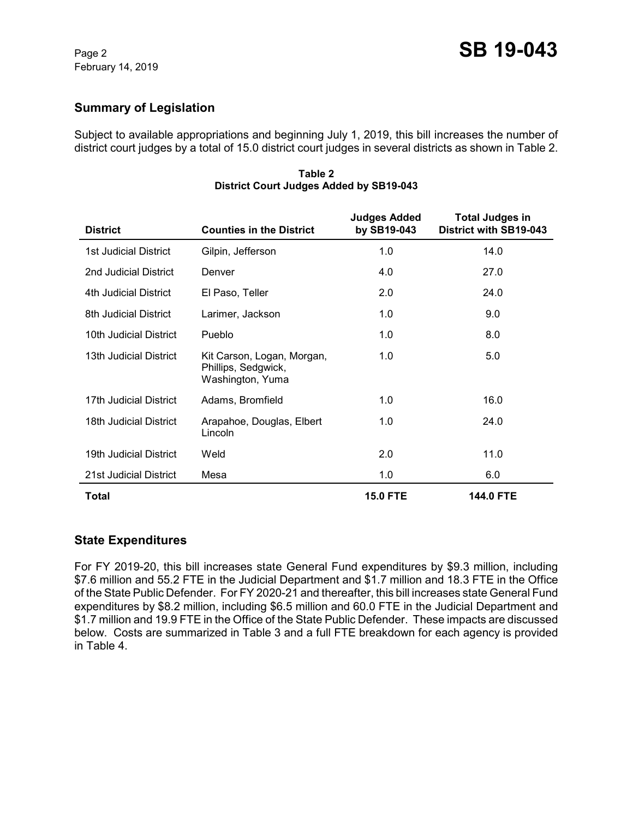# **Summary of Legislation**

Subject to available appropriations and beginning July 1, 2019, this bill increases the number of district court judges by a total of 15.0 district court judges in several districts as shown in Table 2.

| <b>District</b>              | <b>Counties in the District</b>                                       | <b>Judges Added</b><br>by SB19-043 | <b>Total Judges in</b><br>District with SB19-043 |
|------------------------------|-----------------------------------------------------------------------|------------------------------------|--------------------------------------------------|
| <b>1st Judicial District</b> | Gilpin, Jefferson                                                     | 1.0                                | 14.0                                             |
| 2nd Judicial District        | Denver                                                                | 4.0                                | 27.0                                             |
| 4th Judicial District        | El Paso, Teller                                                       | 2.0                                | 24.0                                             |
| 8th Judicial District        | Larimer, Jackson                                                      | 1.0                                | 9.0                                              |
| 10th Judicial District       | Pueblo                                                                | 1.0                                | 8.0                                              |
| 13th Judicial District       | Kit Carson, Logan, Morgan,<br>Phillips, Sedgwick,<br>Washington, Yuma | 1.0                                | 5.0                                              |
| 17th Judicial District       | Adams, Bromfield                                                      | 1.0                                | 16.0                                             |
| 18th Judicial District       | Arapahoe, Douglas, Elbert<br>Lincoln                                  | 1.0                                | 24.0                                             |
| 19th Judicial District       | Weld                                                                  | 2.0                                | 11.0                                             |
| 21st Judicial District       | Mesa                                                                  | 1.0                                | 6.0                                              |
| Total                        |                                                                       | <b>15.0 FTE</b>                    | <b>144.0 FTE</b>                                 |

**Table 2 District Court Judges Added by SB19-043**

## **State Expenditures**

For FY 2019-20, this bill increases state General Fund expenditures by \$9.3 million, including \$7.6 million and 55.2 FTE in the Judicial Department and \$1.7 million and 18.3 FTE in the Office of the State Public Defender. For FY 2020-21 and thereafter, this bill increases state General Fund expenditures by \$8.2 million, including \$6.5 million and 60.0 FTE in the Judicial Department and \$1.7 million and 19.9 FTE in the Office of the State Public Defender. These impacts are discussed below. Costs are summarized in Table 3 and a full FTE breakdown for each agency is provided in Table 4.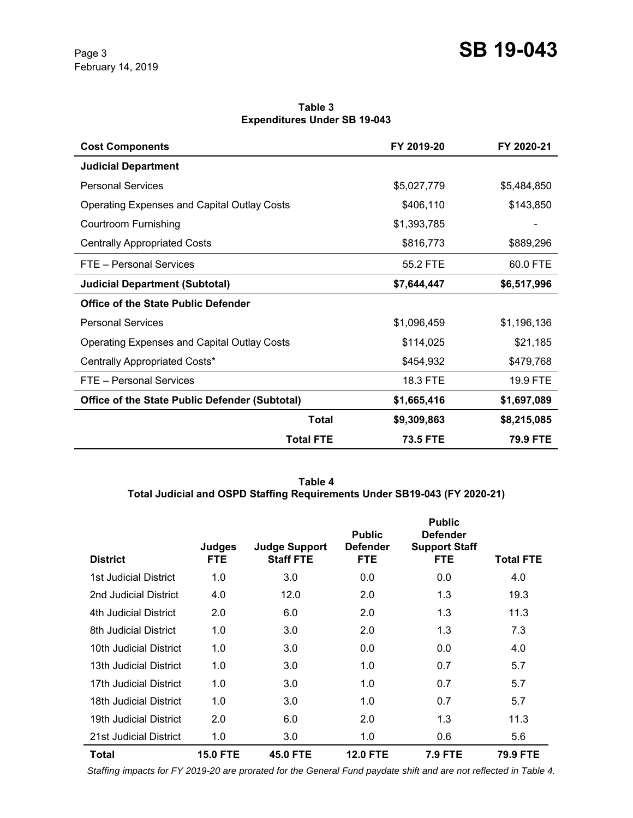**Table 3 Expenditures Under SB 19-043**

| <b>Cost Components</b>                             | FY 2019-20      | FY 2020-21  |
|----------------------------------------------------|-----------------|-------------|
| <b>Judicial Department</b>                         |                 |             |
| <b>Personal Services</b>                           | \$5,027,779     | \$5,484,850 |
| <b>Operating Expenses and Capital Outlay Costs</b> | \$406,110       | \$143,850   |
| Courtroom Furnishing                               | \$1,393,785     |             |
| <b>Centrally Appropriated Costs</b>                | \$816,773       | \$889,296   |
| FTE - Personal Services                            | 55.2 FTE        | 60.0 FTE    |
| <b>Judicial Department (Subtotal)</b>              | \$7,644,447     | \$6,517,996 |
| <b>Office of the State Public Defender</b>         |                 |             |
| <b>Personal Services</b>                           | \$1,096,459     | \$1,196,136 |
| <b>Operating Expenses and Capital Outlay Costs</b> | \$114,025       | \$21,185    |
| Centrally Appropriated Costs*                      | \$454,932       | \$479,768   |
| FTE - Personal Services                            | 18.3 FTE        | 19.9 FTE    |
| Office of the State Public Defender (Subtotal)     | \$1,665,416     | \$1,697,089 |
| <b>Total</b>                                       | \$9,309,863     | \$8,215,085 |
| <b>Total FTE</b>                                   | <b>73.5 FTE</b> | 79.9 FTE    |

**Table 4 Total Judicial and OSPD Staffing Requirements Under SB19-043 (FY 2020-21)**

| <b>District</b>        | Judges<br><b>FTE</b> | <b>Judge Support</b><br><b>Staff FTE</b> | <b>Public</b><br><b>Defender</b><br><b>FTE</b> | <b>Public</b><br><b>Defender</b><br><b>Support Staff</b><br><b>FTE</b> | Total FTE |
|------------------------|----------------------|------------------------------------------|------------------------------------------------|------------------------------------------------------------------------|-----------|
| 1st Judicial District  | 1.0                  | 3.0                                      | 0.0                                            | 0.0                                                                    | 4.0       |
| 2nd Judicial District  | 4.0                  | 12.0                                     | 2.0                                            | 1.3                                                                    | 19.3      |
| 4th Judicial District  | 2.0                  | 6.0                                      | 2.0                                            | 1.3                                                                    | 11.3      |
| 8th Judicial District  | 1.0                  | 3.0                                      | 2.0                                            | 1.3                                                                    | 7.3       |
| 10th Judicial District | 1.0                  | 3.0                                      | 0.0                                            | 0.0                                                                    | 4.0       |
| 13th Judicial District | 1.0                  | 3.0                                      | 1.0                                            | 0.7                                                                    | 5.7       |
| 17th Judicial District | 1.0                  | 3.0                                      | 1.0                                            | 0.7                                                                    | 5.7       |
| 18th Judicial District | 1.0                  | 3.0                                      | 1.0                                            | 0.7                                                                    | 5.7       |
| 19th Judicial District | 2.0                  | 6.0                                      | 2.0                                            | 1.3                                                                    | 11.3      |
| 21st Judicial District | 1.0                  | 3.0                                      | 1.0                                            | 0.6                                                                    | 5.6       |
| <b>Total</b>           | <b>15.0 FTE</b>      | <b>45.0 FTE</b>                          | <b>12.0 FTE</b>                                | <b>7.9 FTE</b>                                                         | 79.9 FTE  |

 *Staffing impacts for FY 2019-20 are prorated for the General Fund paydate shift and are not reflected in Table 4.*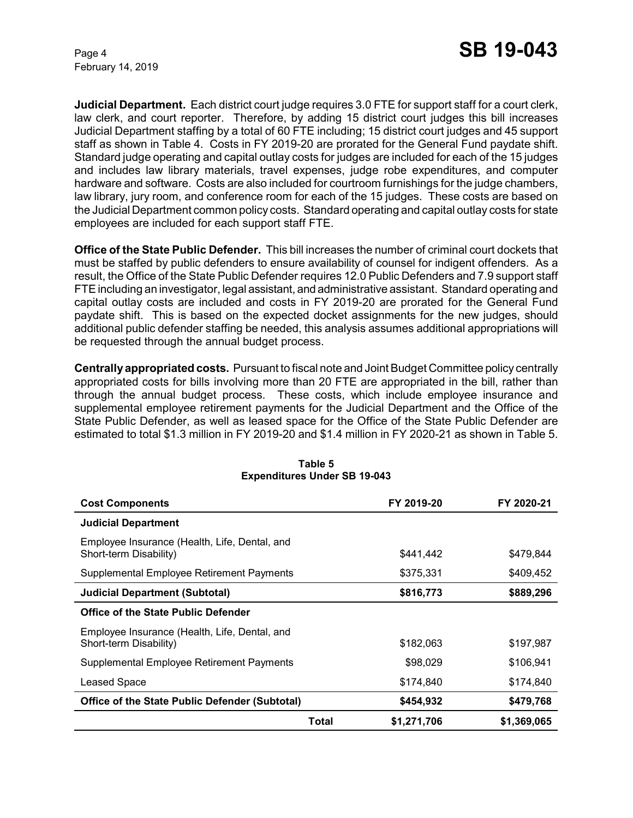February 14, 2019

**Judicial Department.** Each district court judge requires 3.0 FTE for support staff for a court clerk, law clerk, and court reporter. Therefore, by adding 15 district court judges this bill increases Judicial Department staffing by a total of 60 FTE including; 15 district court judges and 45 support staff as shown in Table 4. Costs in FY 2019-20 are prorated for the General Fund paydate shift. Standard judge operating and capital outlay costs for judges are included for each of the 15 judges and includes law library materials, travel expenses, judge robe expenditures, and computer hardware and software. Costs are also included for courtroom furnishings for the judge chambers, law library, jury room, and conference room for each of the 15 judges. These costs are based on the Judicial Department common policy costs. Standard operating and capital outlay costs for state employees are included for each support staff FTE.

**Office of the State Public Defender.** This bill increases the number of criminal court dockets that must be staffed by public defenders to ensure availability of counsel for indigent offenders. As a result, the Office of the State Public Defender requires 12.0 Public Defenders and 7.9 support staff FTE including an investigator, legal assistant, and administrative assistant. Standard operating and capital outlay costs are included and costs in FY 2019-20 are prorated for the General Fund paydate shift. This is based on the expected docket assignments for the new judges, should additional public defender staffing be needed, this analysis assumes additional appropriations will be requested through the annual budget process.

**Centrally appropriated costs.** Pursuant to fiscal note and Joint Budget Committee policy centrally appropriated costs for bills involving more than 20 FTE are appropriated in the bill, rather than through the annual budget process. These costs, which include employee insurance and supplemental employee retirement payments for the Judicial Department and the Office of the State Public Defender, as well as leased space for the Office of the State Public Defender are estimated to total \$1.3 million in FY 2019-20 and \$1.4 million in FY 2020-21 as shown in Table 5.

| <b>Cost Components</b>                                                  |       | FY 2019-20  | FY 2020-21  |  |
|-------------------------------------------------------------------------|-------|-------------|-------------|--|
| <b>Judicial Department</b>                                              |       |             |             |  |
| Employee Insurance (Health, Life, Dental, and<br>Short-term Disability) |       | \$441,442   | \$479.844   |  |
| Supplemental Employee Retirement Payments                               |       | \$375,331   | \$409,452   |  |
| <b>Judicial Department (Subtotal)</b>                                   |       | \$816,773   | \$889,296   |  |
| Office of the State Public Defender                                     |       |             |             |  |
| Employee Insurance (Health, Life, Dental, and<br>Short-term Disability) |       | \$182,063   | \$197,987   |  |
| Supplemental Employee Retirement Payments                               |       | \$98,029    | \$106,941   |  |
| <b>Leased Space</b>                                                     |       | \$174,840   | \$174,840   |  |
| <b>Office of the State Public Defender (Subtotal)</b>                   |       | \$454,932   | \$479,768   |  |
|                                                                         | Total | \$1,271,706 | \$1,369,065 |  |

#### **Table 5 Expenditures Under SB 19-043**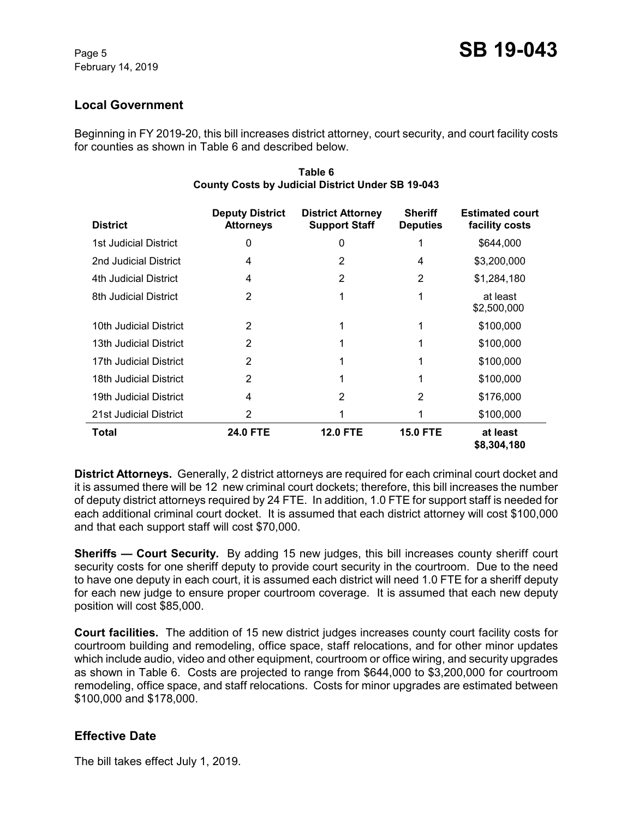### **Local Government**

Beginning in FY 2019-20, this bill increases district attorney, court security, and court facility costs for counties as shown in Table 6 and described below.

| <b>District</b>        | <b>Deputy District</b><br><b>Attorneys</b> | <b>District Attorney</b><br><b>Support Staff</b> | <b>Sheriff</b><br><b>Deputies</b> | <b>Estimated court</b><br>facility costs |
|------------------------|--------------------------------------------|--------------------------------------------------|-----------------------------------|------------------------------------------|
| 1st Judicial District  | 0                                          | 0                                                |                                   | \$644,000                                |
| 2nd Judicial District  | 4                                          | 2                                                | 4                                 | \$3,200,000                              |
| 4th Judicial District  | 4                                          | 2                                                | $\overline{2}$                    | \$1,284,180                              |
| 8th Judicial District  | 2                                          | 1                                                | 1                                 | at least<br>\$2,500,000                  |
| 10th Judicial District | $\overline{2}$                             |                                                  | 1                                 | \$100,000                                |
| 13th Judicial District | $\overline{2}$                             |                                                  |                                   | \$100,000                                |
| 17th Judicial District | 2                                          |                                                  |                                   | \$100,000                                |
| 18th Judicial District | 2                                          | 1                                                |                                   | \$100,000                                |
| 19th Judicial District | 4                                          | 2                                                | 2                                 | \$176,000                                |
| 21st Judicial District | 2                                          |                                                  |                                   | \$100,000                                |
| Total                  | <b>24.0 FTE</b>                            | <b>12.0 FTE</b>                                  | <b>15.0 FTE</b>                   | at least<br>\$8,304,180                  |

#### **Table 6 County Costs by Judicial District Under SB 19-043**

**District Attorneys.** Generally, 2 district attorneys are required for each criminal court docket and it is assumed there will be 12 new criminal court dockets; therefore, this bill increases the number of deputy district attorneys required by 24 FTE. In addition, 1.0 FTE for support staff is needed for each additional criminal court docket. It is assumed that each district attorney will cost \$100,000 and that each support staff will cost \$70,000.

**Sheriffs — Court Security.** By adding 15 new judges, this bill increases county sheriff court security costs for one sheriff deputy to provide court security in the courtroom. Due to the need to have one deputy in each court, it is assumed each district will need 1.0 FTE for a sheriff deputy for each new judge to ensure proper courtroom coverage. It is assumed that each new deputy position will cost \$85,000.

**Court facilities.** The addition of 15 new district judges increases county court facility costs for courtroom building and remodeling, office space, staff relocations, and for other minor updates which include audio, video and other equipment, courtroom or office wiring, and security upgrades as shown in Table 6. Costs are projected to range from \$644,000 to \$3,200,000 for courtroom remodeling, office space, and staff relocations. Costs for minor upgrades are estimated between \$100,000 and \$178,000.

## **Effective Date**

The bill takes effect July 1, 2019.